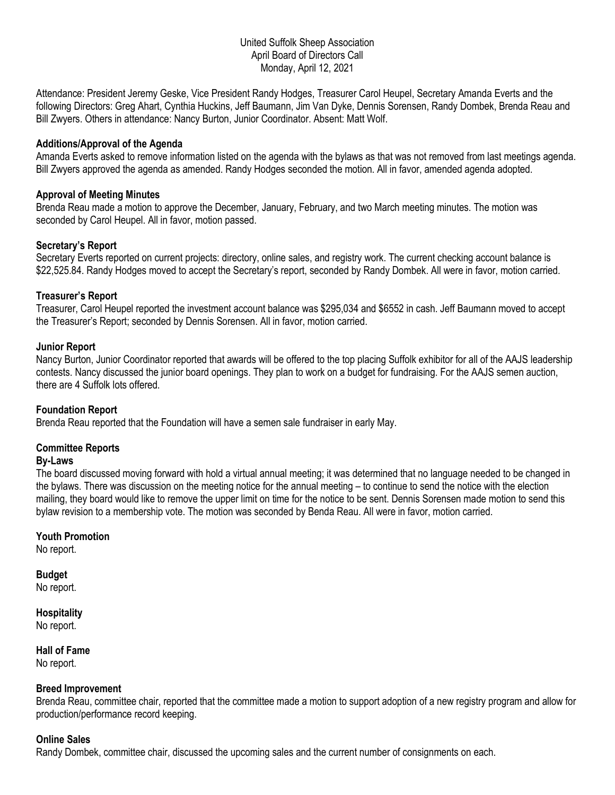# United Suffolk Sheep Association April Board of Directors Call Monday, April 12, 2021

Attendance: President Jeremy Geske, Vice President Randy Hodges, Treasurer Carol Heupel, Secretary Amanda Everts and the following Directors: Greg Ahart, Cynthia Huckins, Jeff Baumann, Jim Van Dyke, Dennis Sorensen, Randy Dombek, Brenda Reau and Bill Zwyers. Others in attendance: Nancy Burton, Junior Coordinator. Absent: Matt Wolf.

# **Additions/Approval of the Agenda**

Amanda Everts asked to remove information listed on the agenda with the bylaws as that was not removed from last meetings agenda. Bill Zwyers approved the agenda as amended. Randy Hodges seconded the motion. All in favor, amended agenda adopted.

## **Approval of Meeting Minutes**

Brenda Reau made a motion to approve the December, January, February, and two March meeting minutes. The motion was seconded by Carol Heupel. All in favor, motion passed.

# **Secretary's Report**

Secretary Everts reported on current projects: directory, online sales, and registry work. The current checking account balance is \$22,525.84. Randy Hodges moved to accept the Secretary's report, seconded by Randy Dombek. All were in favor, motion carried.

# **Treasurer's Report**

Treasurer, Carol Heupel reported the investment account balance was \$295,034 and \$6552 in cash. Jeff Baumann moved to accept the Treasurer's Report; seconded by Dennis Sorensen. All in favor, motion carried.

# **Junior Report**

Nancy Burton, Junior Coordinator reported that awards will be offered to the top placing Suffolk exhibitor for all of the AAJS leadership contests. Nancy discussed the junior board openings. They plan to work on a budget for fundraising. For the AAJS semen auction, there are 4 Suffolk lots offered.

## **Foundation Report**

Brenda Reau reported that the Foundation will have a semen sale fundraiser in early May.

# **Committee Reports**

## **By-Laws**

The board discussed moving forward with hold a virtual annual meeting; it was determined that no language needed to be changed in the bylaws. There was discussion on the meeting notice for the annual meeting – to continue to send the notice with the election mailing, they board would like to remove the upper limit on time for the notice to be sent. Dennis Sorensen made motion to send this bylaw revision to a membership vote. The motion was seconded by Benda Reau. All were in favor, motion carried.

# **Youth Promotion**

No report.

# **Budget**

No report.

#### **Hospitality** No report.

# **Hall of Fame** No report.

## **Breed Improvement**

Brenda Reau, committee chair, reported that the committee made a motion to support adoption of a new registry program and allow for production/performance record keeping.

## **Online Sales**

Randy Dombek, committee chair, discussed the upcoming sales and the current number of consignments on each.